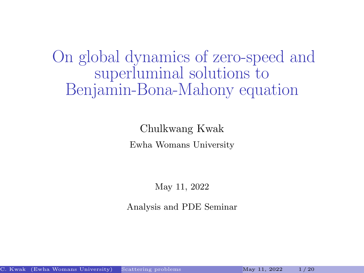<span id="page-0-0"></span>On global dynamics of zero-speed and superluminal solutions to Benjamin-Bona-Mahony equation

> Chulkwang Kwak Ewha Womans University

> > May 11, 2022

Analysis and PDE Seminar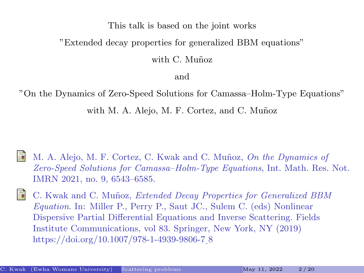#### This talk is based on the joint works

#### "Extended decay properties for generalized BBM equations"

with C. Muñoz

and

"On the Dynamics of Zero-Speed Solutions for Camassa–Holm-Type Equations"

with M. A. Alejo, M. F. Cortez, and C. Muñoz

- M. A. Alejo, M. F. Cortez, C. Kwak and C. Muñoz, On the Dynamics of Zero-Speed Solutions for Camassa–Holm-Type Equations, Int. Math. Res. Not. IMRN 2021, no. 9, 6543–6585.
- 螶 C. Kwak and C. Muñoz, Extended Decay Properties for Generalized BBM Equation. In: Miller P., Perry P., Saut JC., Sulem C. (eds) Nonlinear Dispersive Partial Differential Equations and Inverse Scattering. Fields Institute Communications, vol 83. Springer, New York, NY (2019) https://doi.org/10.1007/978-1-4939-9806-7 8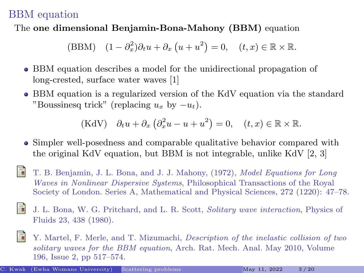## BBM equation

## The one dimensional Benjamin-Bona-Mahony (BBM) equation

(BBM) 
$$
(1 - \partial_x^2)\partial_t u + \partial_x (u + u^2) = 0
$$
,  $(t, x) \in \mathbb{R} \times \mathbb{R}$ .

- BBM equation describes a model for the unidirectional propagation of long-crested, surface water waves [\[1\]](#page-2-0)
- BBM equation is a regularized version of the KdV equation via the standard "Boussinesq trick" (replacing  $u_x$  by  $-u_t$ ).

(KdV) 
$$
\partial_t u + \partial_x (\partial_x^2 u - u + u^2) = 0
$$
,  $(t, x) \in \mathbb{R} \times \mathbb{R}$ .

- Simpler well-posedness and comparable qualitative behavior compared with the original KdV equation, but BBM is not integrable, unlike KdV [\[2,](#page-2-1) [3\]](#page-2-2)
- <span id="page-2-0"></span>T. B. Benjamin, J. L. Bona, and J. J. Mahony, (1972), Model Equations for Long Waves in Nonlinear Dispersive Systems, Philosophical Transactions of the Royal Society of London. Series A, Mathematical and Physical Sciences, 272 (1220): 47–78.
- <span id="page-2-1"></span>F J. L. Bona, W. G. Pritchard, and L. R. Scott, Solitary wave interaction, Physics of Fluids 23, 438 (1980).
- <span id="page-2-2"></span>E. Y. Martel, F. Merle, and T. Mizumachi, Description of the inelastic collision of two solitary waves for the BBM equation, Arch. Rat. Mech. Anal. May 2010, Volume 196, Issue 2, pp 517–574.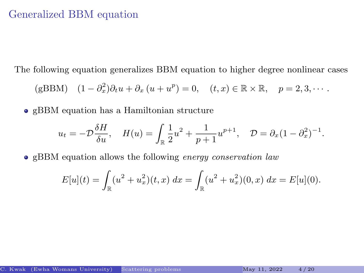## Generalized BBM equation

The following equation generalizes BBM equation to higher degree nonlinear cases

(gBBM) 
$$
(1 - \partial_x^2)\partial_t u + \partial_x (u + u^p) = 0
$$
,  $(t, x) \in \mathbb{R} \times \mathbb{R}$ ,  $p = 2, 3, \cdots$ .

gBBM equation has a Hamiltonian structure

$$
u_t = -\mathcal{D}\frac{\delta H}{\delta u}, \quad H(u) = \int_{\mathbb{R}} \frac{1}{2}u^2 + \frac{1}{p+1}u^{p+1}, \quad \mathcal{D} = \partial_x(1-\partial_x^2)^{-1}.
$$

• gBBM equation allows the following energy conservation law

$$
E[u](t) = \int_{\mathbb{R}} (u^2 + u_x^2)(t, x) dx = \int_{\mathbb{R}} (u^2 + u_x^2)(0, x) dx = E[u](0).
$$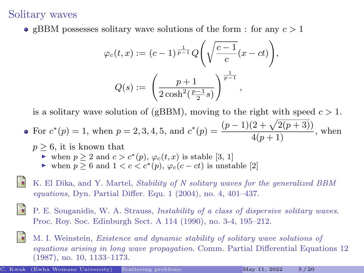## Solitary waves

**e** gBBM possesses solitary wave solutions of the form : for any  $c > 1$ 

$$
\varphi_c(t, x) := (c - 1)^{\frac{1}{p - 1}} Q\left(\sqrt{\frac{c - 1}{c}}(x - ct)\right),
$$
  

$$
Q(s) := \left(\frac{p + 1}{2\cosh^2(\frac{p - 1}{2}s)}\right)^{\frac{1}{p - 1}},
$$

is a solitary wave solution of (gBBM), moving to the right with speed  $c > 1$ .

• For 
$$
c^*(p) = 1
$$
, when  $p = 2, 3, 4, 5$ , and  $c^*(p) = \frac{(p-1)(2+\sqrt{2(p+3)})}{4(p+1)}$ , when

- $p \geq 6$ , it is known that
	- ightharpoonup is verified to  $c > c^*(p)$ ,  $\varphi_c(t, x)$  is stable [\[3,](#page-4-0) [1\]](#page-4-1)
	- $\triangleright$  when  $p \geq 6$  and  $1 < c < c^*(p)$ ,  $\varphi_c(c-ct)$  is unstable [\[2\]](#page-4-2)
- <span id="page-4-1"></span>K. El Dika, and Y. Martel, Stability of N solitary waves for the generalized BBM equations, Dyn. Partial Differ. Equ. 1 (2004), no. 4, 401–437.
- <span id="page-4-2"></span>P. E. Souganidis, W. A. Strauss, Instability of a class of dispersive solitary waves. Proc. Roy. Soc. Edinburgh Sect. A 114 (1990), no. 3-4, 195–212.
- <span id="page-4-0"></span>M. I. Weinstein, Existence and dynamic stability of solitary wave solutions of equations arising in long wave propagation. Comm. Partial Differential Equations 12 (1987), no. 10, 1133–1173.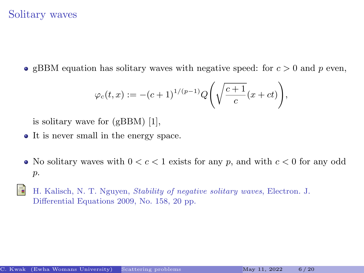## Solitary waves

**gBBM** equation has solitary waves with negative speed: for  $c > 0$  and p even,

$$
\varphi_c(t,x) := -(c+1)^{1/(p-1)} Q\Bigg(\sqrt{\frac{c+1}{c}}(x+ct)\Bigg),
$$

is solitary wave for (gBBM) [\[1\]](#page-5-0),

- It is never small in the energy space.
- No solitary waves with  $0 < c < 1$  exists for any p, and with  $c < 0$  for any odd p.
- <span id="page-5-0"></span>H. Kalisch, N. T. Nguyen, Stability of negative solitary waves, Electron. J. Differential Equations 2009, No. 158, 20 pp.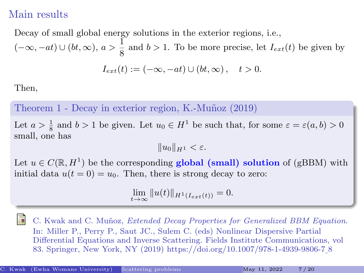## Main results

Decay of small global energy solutions in the exterior regions, i.e.,  $(-\infty, -at) \cup (bt, \infty), a > \frac{1}{2}$  $\frac{1}{8}$  and  $b > 1$ . To be more precise, let  $I_{ext}(t)$  be given by

$$
I_{ext}(t) := (-\infty, -at) \cup (bt, \infty), \quad t > 0.
$$

Then,

Theorem 1 - Decay in exterior region, K.-Muñoz (2019)

Let  $a > \frac{1}{8}$  and  $b > 1$  be given. Let  $u_0 \in H^1$  be such that, for some  $\varepsilon = \varepsilon(a, b) > 0$ small, one has

 $||u_0||_{H_1} < \varepsilon.$ 

Let  $u \in C(\mathbb{R}, H^1)$  be the corresponding **global (small) solution** of (gBBM) with initial data  $u(t = 0) = u_0$ . Then, there is strong decay to zero:

$$
\lim_{t \to \infty} ||u(t)||_{H^1(I_{ext}(t))} = 0.
$$

C. Kwak and C. Muñoz, Extended Decay Properties for Generalized BBM Equation. In: Miller P., Perry P., Saut JC., Sulem C. (eds) Nonlinear Dispersive Partial Differential Equations and Inverse Scattering. Fields Institute Communications, vol 83. Springer, New York, NY (2019) https://doi.org/10.1007/978-1-4939-9806-7 8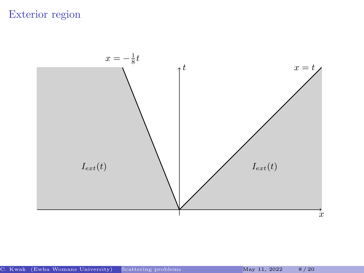# Exterior region

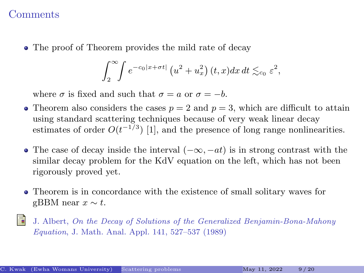### **Comments**

The proof of Theorem provides the mild rate of decay

$$
\int_2^{\infty} \int e^{-c_0|x+\sigma t|} \left( u^2 + u_x^2 \right) (t, x) dx dt \lesssim_{c_0} \varepsilon^2,
$$

where  $\sigma$  is fixed and such that  $\sigma = a$  or  $\sigma = -b$ .

- Theorem also considers the cases  $p = 2$  and  $p = 3$ , which are difficult to attain using standard scattering techniques because of very weak linear decay estimates of order  $O(t^{-1/3})$  [\[1\]](#page-8-0), and the presence of long range nonlinearities.
- The case of decay inside the interval  $(-\infty, -at)$  is in strong contrast with the similar decay problem for the KdV equation on the left, which has not been rigorously proved yet.
- Theorem is in concordance with the existence of small solitary waves for gBBM near  $x \sim t$ .
- <span id="page-8-0"></span>ā. J. Albert, On the Decay of Solutions of the Generalized Benjamin-Bona-Mahony Equation, J. Math. Anal. Appl. 141, 527–537 (1989)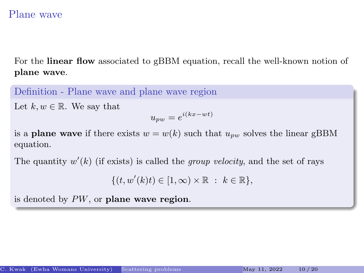## Plane wave

For the linear flow associated to gBBM equation, recall the well-known notion of plane wave.

Definition - Plane wave and plane wave region

Let  $k, w \in \mathbb{R}$ . We say that

$$
u_{pw} = e^{i(kx - wt)}
$$

is a **plane wave** if there exists  $w = w(k)$  such that  $u_{pw}$  solves the linear gBBM equation.

The quantity  $w'(k)$  (if exists) is called the *group velocity*, and the set of rays

 $\{(t, w'(k)t) \in [1, \infty) \times \mathbb{R} : k \in \mathbb{R}\},\$ 

is denoted by  $PW$ , or plane wave region.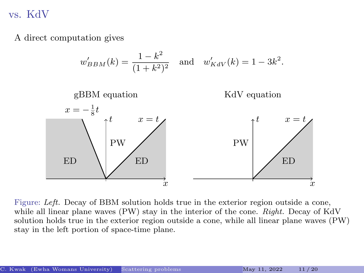vs. KdV

A direct computation gives



Figure: Left. Decay of BBM solution holds true in the exterior region outside a cone, while all linear plane waves  $(PW)$  stay in the interior of the cone. Right. Decay of KdV solution holds true in the exterior region outside a cone, while all linear plane waves (PW) stay in the left portion of space-time plane.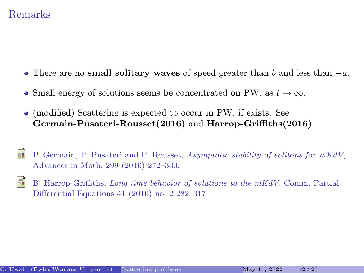## Remarks

- There are no small solitary waves of speed greater than b and less than  $-a$ .
- Small energy of solutions seems be concentrated on PW, as  $t \to \infty$ .
- (modified) Scattering is expected to occur in PW, if exists. See Germain-Pusateri-Rousset(2016) and Harrop-Griffiths(2016)
- P. Germain, F. Pusateri and F. Rousset, Asymptotic stability of solitons for mKdV, Advances in Math. 299 (2016) 272–330.
- B. Harrop-Griffiths, Long time behavior of solutions to the mKdV, Comm. Partial Differential Equations 41 (2016) no. 2 282–317.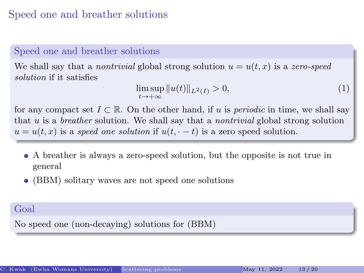## Speed one and breather solutions

## Speed one and breather solutions

We shall say that a *nontrivial* global strong solution  $u = u(t, x)$  is a zero-speed solution if it satisfies

$$
\limsup_{t \to +\infty} ||u(t)||_{L^2(I)} > 0,
$$
\n(1)

for any compact set  $I \subset \mathbb{R}$ . On the other hand, if u is *periodic* in time, we shall say that  $u$  is a *breather* solution. We shall say that a *nontrivial* global strong solution  $u = u(t, x)$  is a speed one solution if  $u(t, \cdot - t)$  is a zero speed solution.

- A breather is always a zero-speed solution, but the opposite is not true in general
- (BBM) solitary waves are not speed one solutions

### Goal

No speed one (non-decaying) solutions for (BBM)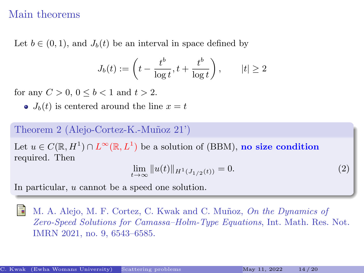## Main theorems

Let  $b \in (0, 1)$ , and  $J_b(t)$  be an interval in space defined by

$$
J_b(t) := \left(t - \frac{t^b}{\log t}, t + \frac{t^b}{\log t}\right), \qquad |t| \ge 2
$$

for any  $C > 0, 0 \le b < 1$  and  $t > 2$ .

 $J_b(t)$  is centered around the line  $x = t$ 

#### Theorem 2 (Alejo-Cortez-K.-Muñoz 21')

Let  $u \in C(\mathbb{R}, H^1) \cap L^{\infty}(\mathbb{R}, L^1)$  be a solution of (BBM), no size condition required. Then

$$
\lim_{t \to \infty} ||u(t)||_{H^1(J_{1/2}(t))} = 0.
$$
\n(2)

In particular, u cannot be a speed one solution.

M. A. Alejo, M. F. Cortez, C. Kwak and C. Muñoz, On the Dynamics of Zero-Speed Solutions for Camassa–Holm-Type Equations, Int. Math. Res. Not. IMRN 2021, no. 9, 6543–6585.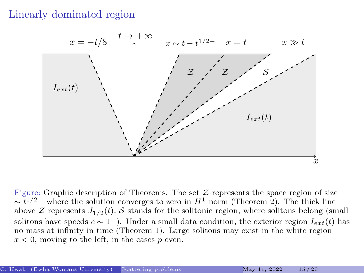## Linearly dominated region



Figure: Graphic description of Theorems. The set  $\mathcal Z$  represents the space region of size  $\sim t^{1/2-}$  where the solution converges to zero in  $H^1$  norm (Theorem 2). The thick line above  $\mathcal Z$  represents  $J_{1/2}(t)$ . S stands for the solitonic region, where solitons belong (small solitons have speeds  $c \sim 1^+$ ). Under a small data condition, the exterior region  $I_{ext}(t)$  has no mass at infinity in time (Theorem 1). Large solitons may exist in the white region  $x < 0$ , moving to the left, in the cases p even.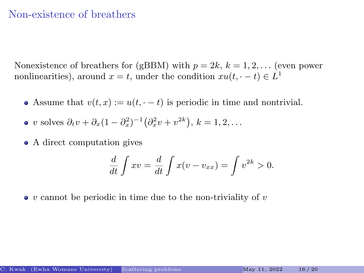### Non-existence of breathers

Nonexistence of breathers for (gBBM) with  $p = 2k, k = 1, 2, ...$  (even power nonlinearities), around  $x = t$ , under the condition  $xu(t, \cdot - t) \in L^1$ 

- Assume that  $v(t, x) := u(t, t t)$  is periodic in time and nontrivial.
- v solves  $\partial_t v + \partial_x (1 \partial_x^2)^{-1} (\partial_x^2 v + v^{2k}), k = 1, 2, ...$
- A direct computation gives

$$
\frac{d}{dt}\int xv = \frac{d}{dt}\int x(v - v_{xx}) = \int v^{2k} > 0.
$$

 $\bullet$  v cannot be periodic in time due to the non-triviality of v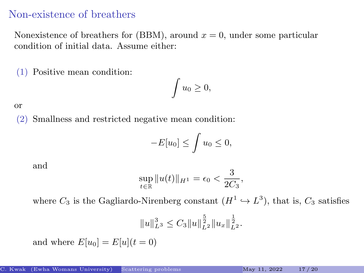## Non-existence of breathers

Nonexistence of breathers for (BBM), around  $x = 0$ , under some particular condition of initial data. Assume either:

(1) Positive mean condition:

$$
\int u_0\geq 0,
$$

or

(2) Smallness and restricted negative mean condition:

$$
-E[u_0] \le \int u_0 \le 0,
$$

and

$$
\sup_{t \in \mathbb{R}} \|u(t)\|_{H^1} = \epsilon_0 < \frac{3}{2C_3},
$$

where  $C_3$  is the Gagliardo-Nirenberg constant  $(H^1 \hookrightarrow L^3)$ , that is,  $C_3$  satisfies

$$
||u||_{L^{3}}^{3} \leq C_{3}||u||_{L^{2}}^{\frac{5}{2}}||u_{x}||_{L^{2}}^{\frac{1}{2}}.
$$

and where  $E[u_0] = E[u](t=0)$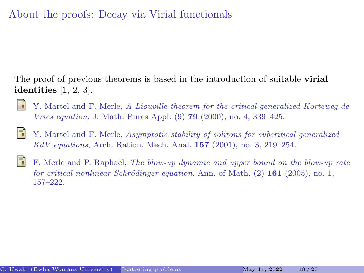# About the proofs: Decay via Virial functionals

The proof of previous theorems is based in the introduction of suitable virial identities [\[1,](#page-17-0) [2,](#page-17-1) [3\]](#page-17-2).

- <span id="page-17-0"></span>Y. Martel and F. Merle, A Liouville theorem for the critical generalized Korteweg-de Vries equation, J. Math. Pures Appl. (9) 79 (2000), no. 4, 339–425.
- <span id="page-17-2"></span><span id="page-17-1"></span>量 Y. Martel and F. Merle, Asymptotic stability of solitons for subcritical generalized  $KdV$  equations, Arch. Ration. Mech. Anal. **157** (2001), no. 3, 219–254.
	- F. Merle and P. Raphaël, The blow-up dynamic and upper bound on the blow-up rate for critical nonlinear Schrödinger equation, Ann. of Math.  $(2)$  161 (2005), no. 1, 157–222.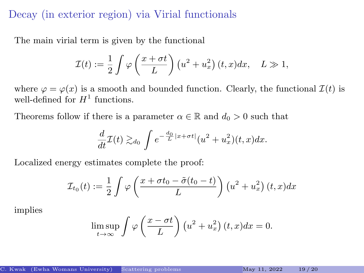## Decay (in exterior region) via Virial functionals

The main virial term is given by the functional

$$
\mathcal{I}(t) := \frac{1}{2} \int \varphi \left( \frac{x + \sigma t}{L} \right) \left( u^2 + u_x^2 \right) (t, x) dx, \quad L \gg 1,
$$

where  $\varphi = \varphi(x)$  is a smooth and bounded function. Clearly, the functional  $\mathcal{I}(t)$  is well-defined for  $H^1$  functions.

Theorems follow if there is a parameter  $\alpha \in \mathbb{R}$  and  $d_0 > 0$  such that

$$
\frac{d}{dt}\mathcal{I}(t) \gtrsim_{d_0} \int e^{-\frac{d_0}{L}|x+\sigma t|} (u^2 + u_x^2)(t, x) dx.
$$

Localized energy estimates complete the proof:

$$
\mathcal{I}_{t_0}(t) := \frac{1}{2} \int \varphi \left( \frac{x + \sigma t_0 - \tilde{\sigma}(t_0 - t)}{L} \right) \left( u^2 + u_x^2 \right) (t, x) dx
$$

implies

$$
\limsup_{t \to \infty} \int \varphi \left( \frac{x - \sigma t}{L} \right) \left( u^2 + u_x^2 \right) (t, x) dx = 0.
$$